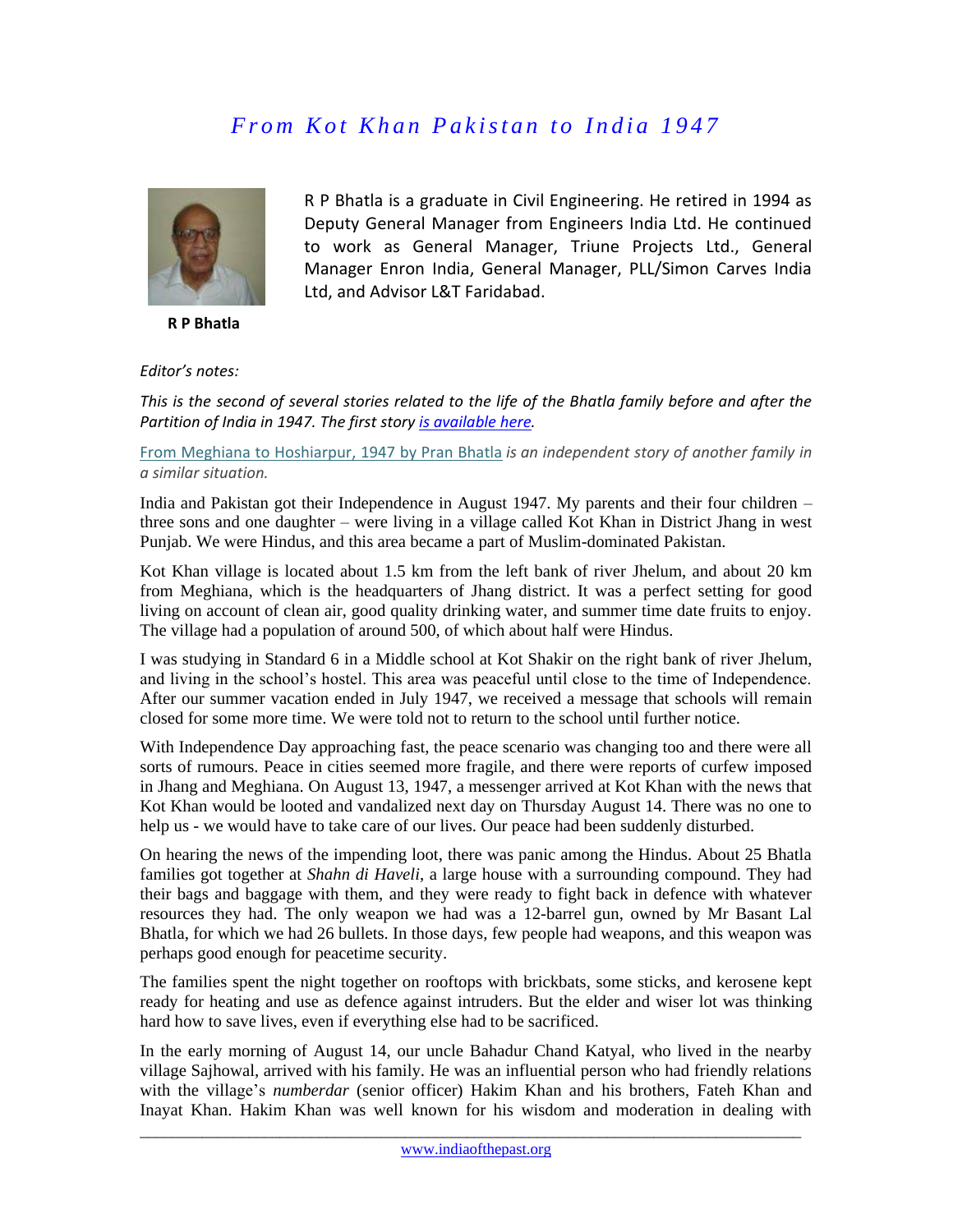## *From Kot Khan Pakistan to India 1947*

R P Bhatla is a graduate in Civil Engineering. He retired in 1994 as Deputy General Manager from Engineers India Ltd. He continued to work as General Manager, Triune Projects Ltd., General Manager Enron India, General Manager, PLL/Simon Carves India



 **R P Bhatla**

*Editor's notes:* 

*This is the second of several stories related to the life of the Bhatla family before and after the Partition of India in 1947. The first story [is available](http://www.indiaofthepast.org/contribute-memories/read-contributions/life-back-then/271-a-prosperous-and-peaceful-village-life-pre-partition) here.*

Ltd, and Advisor L&T Faridabad.

[From Meghiana to Hoshiarpur, 1947 by Pran Bhatla](http://www.indiaofthepast.org/contribute-memories/read-contributions/major-events-pre-1950/152-from-meghiana-to-hoshiarpur-by-pran-bhatla) *is an independent story of another family in a similar situation.*

India and Pakistan got their Independence in August 1947. My parents and their four children – three sons and one daughter – were living in a village called Kot Khan in District Jhang in west Punjab. We were Hindus, and this area became a part of Muslim-dominated Pakistan.

Kot Khan village is located about 1.5 km from the left bank of river Jhelum, and about 20 km from Meghiana, which is the headquarters of Jhang district. It was a perfect setting for good living on account of clean air, good quality drinking water, and summer time date fruits to enjoy. The village had a population of around 500, of which about half were Hindus.

I was studying in Standard 6 in a Middle school at Kot Shakir on the right bank of river Jhelum, and living in the school's hostel. This area was peaceful until close to the time of Independence. After our summer vacation ended in July 1947, we received a message that schools will remain closed for some more time. We were told not to return to the school until further notice.

With Independence Day approaching fast, the peace scenario was changing too and there were all sorts of rumours. Peace in cities seemed more fragile, and there were reports of curfew imposed in Jhang and Meghiana. On August 13, 1947, a messenger arrived at Kot Khan with the news that Kot Khan would be looted and vandalized next day on Thursday August 14. There was no one to help us - we would have to take care of our lives. Our peace had been suddenly disturbed.

On hearing the news of the impending loot, there was panic among the Hindus. About 25 Bhatla families got together at *Shahn di Haveli*, a large house with a surrounding compound. They had their bags and baggage with them, and they were ready to fight back in defence with whatever resources they had. The only weapon we had was a 12-barrel gun, owned by Mr Basant Lal Bhatla, for which we had 26 bullets. In those days, few people had weapons, and this weapon was perhaps good enough for peacetime security.

The families spent the night together on rooftops with brickbats, some sticks, and kerosene kept ready for heating and use as defence against intruders. But the elder and wiser lot was thinking hard how to save lives, even if everything else had to be sacrificed.

In the early morning of August 14, our uncle Bahadur Chand Katyal, who lived in the nearby village Sajhowal, arrived with his family. He was an influential person who had friendly relations with the village's *numberdar* (senior officer) Hakim Khan and his brothers, Fateh Khan and Inayat Khan. Hakim Khan was well known for his wisdom and moderation in dealing with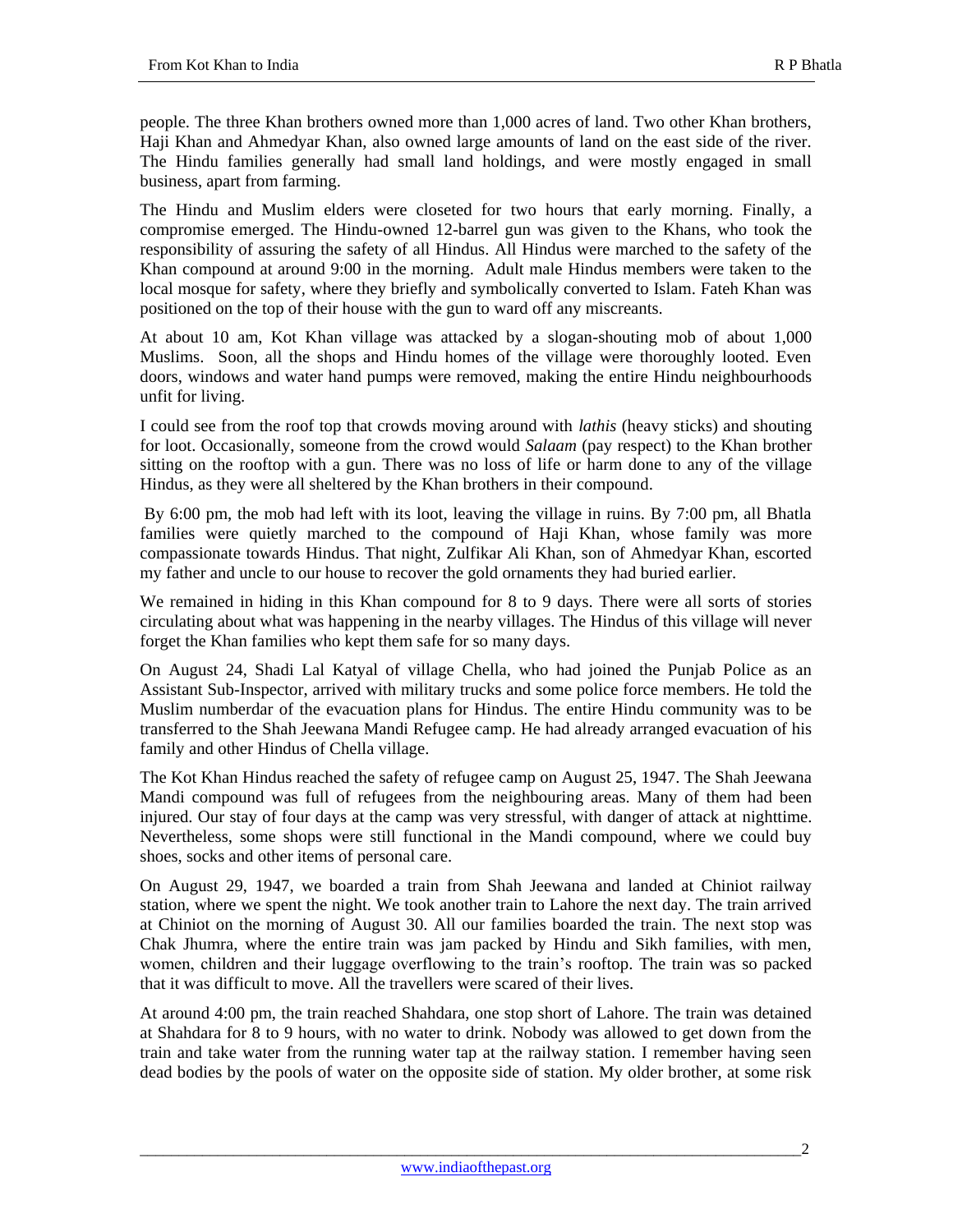people. The three Khan brothers owned more than 1,000 acres of land. Two other Khan brothers, Haji Khan and Ahmedyar Khan, also owned large amounts of land on the east side of the river. The Hindu families generally had small land holdings, and were mostly engaged in small business, apart from farming.

The Hindu and Muslim elders were closeted for two hours that early morning. Finally, a compromise emerged. The Hindu-owned 12-barrel gun was given to the Khans, who took the responsibility of assuring the safety of all Hindus. All Hindus were marched to the safety of the Khan compound at around 9:00 in the morning. Adult male Hindus members were taken to the local mosque for safety, where they briefly and symbolically converted to Islam. Fateh Khan was positioned on the top of their house with the gun to ward off any miscreants.

At about 10 am, Kot Khan village was attacked by a slogan-shouting mob of about 1,000 Muslims. Soon, all the shops and Hindu homes of the village were thoroughly looted. Even doors, windows and water hand pumps were removed, making the entire Hindu neighbourhoods unfit for living.

I could see from the roof top that crowds moving around with *lathis* (heavy sticks) and shouting for loot. Occasionally, someone from the crowd would *Salaam* (pay respect) to the Khan brother sitting on the rooftop with a gun. There was no loss of life or harm done to any of the village Hindus, as they were all sheltered by the Khan brothers in their compound.

By 6:00 pm, the mob had left with its loot, leaving the village in ruins. By 7:00 pm, all Bhatla families were quietly marched to the compound of Haji Khan, whose family was more compassionate towards Hindus. That night, Zulfikar Ali Khan, son of Ahmedyar Khan, escorted my father and uncle to our house to recover the gold ornaments they had buried earlier.

We remained in hiding in this Khan compound for 8 to 9 days. There were all sorts of stories circulating about what was happening in the nearby villages. The Hindus of this village will never forget the Khan families who kept them safe for so many days.

On August 24, Shadi Lal Katyal of village Chella, who had joined the Punjab Police as an Assistant Sub-Inspector, arrived with military trucks and some police force members. He told the Muslim numberdar of the evacuation plans for Hindus. The entire Hindu community was to be transferred to the Shah Jeewana Mandi Refugee camp. He had already arranged evacuation of his family and other Hindus of Chella village.

The Kot Khan Hindus reached the safety of refugee camp on August 25, 1947. The Shah Jeewana Mandi compound was full of refugees from the neighbouring areas. Many of them had been injured. Our stay of four days at the camp was very stressful, with danger of attack at nighttime. Nevertheless, some shops were still functional in the Mandi compound, where we could buy shoes, socks and other items of personal care.

On August 29, 1947, we boarded a train from Shah Jeewana and landed at Chiniot railway station, where we spent the night. We took another train to Lahore the next day. The train arrived at Chiniot on the morning of August 30. All our families boarded the train. The next stop was Chak Jhumra, where the entire train was jam packed by Hindu and Sikh families, with men, women, children and their luggage overflowing to the train's rooftop. The train was so packed that it was difficult to move. All the travellers were scared of their lives.

At around 4:00 pm, the train reached Shahdara, one stop short of Lahore. The train was detained at Shahdara for 8 to 9 hours, with no water to drink. Nobody was allowed to get down from the train and take water from the running water tap at the railway station. I remember having seen dead bodies by the pools of water on the opposite side of station. My older brother, at some risk